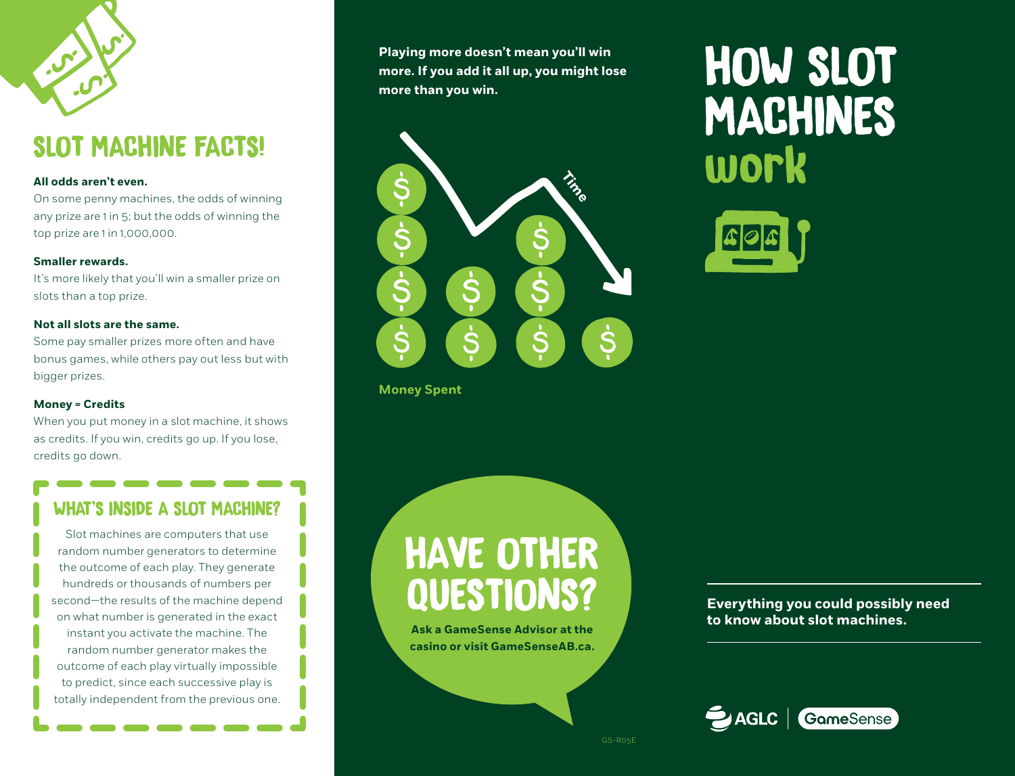

# SLOT MACHINE FACTS!

#### **All odds aren't even.**

On some penny machines, the odds of winning any prize are 1 in 5; but the odds of winning the top prize are 1 in 1,000,000.

#### **Smaller rewards.**

It's more likely that you'll win a smaller prize on slots than a top prize.

#### **Not all slots are the same.**

Some pay smaller prizes more often and have bonus games, while others pay out less but with bigger prizes.

#### **Money = Credits**

When you put money in a slot machine, it shows as credits. If you win, credits go up. If you lose, credits go down.

### WHAT'S INSIDE A SLOT MACHINE?

Slot machines are computers that use random number generators to determine the outcome of each play. They generate hundreds or thousands of numbers per second—the results of the machine depend on what number is generated in the exact instant you activate the machine. The random number generator makes the outcome of each play virtually impossible to predict, since each successive play is totally independent from the previous one.

**Playing more doesn't mean you'll win more. If you add it all up, you might lose more than you win.**



**Money Spent**

HAVE OTHER QUESTIONS?

**Ask a GameSense Advisor at the casino or visit GameSenseAB.ca.**  HOW SLOT MACHINES work



**Everything you could possibly need to know about slot machines.**